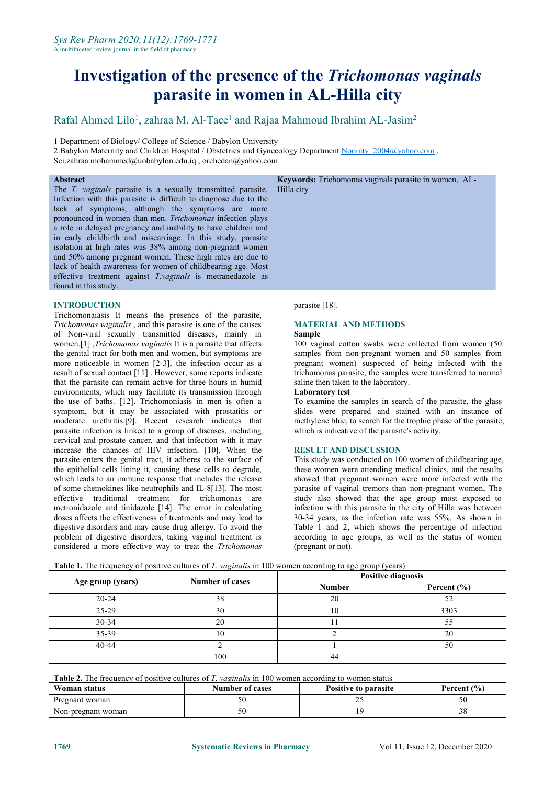# **Investigation of the presence of the** *Trichomonas vaginals* **parasite in women in AL-Hilla city**

# Rafal Ahmed Lilo<sup>1</sup>, zahraa M. Al-Taee<sup>1</sup> and Rajaa Mahmoud Ibrahim AL-Jasim<sup>2</sup>

1 Department of Biology/ College of Science / Babylon University

2 Babylon Maternity and Children Hospital / Obstetrics and Gynecology Department Nooraty 2004@yahoo.com ,

[Sci.zahraa.mohammed@uobabylon.edu.iq](mailto:Sci.zahraa.mohammed@uobabylon.edu.iq) , [orchedan@yahoo.com](mailto:orchedan@yahoo.com)

#### **Abstract**

The *T. vaginals* parasite is a sexually transmitted parasite. Infection with this parasite is difficult to diagnose due to the lack of symptoms, although the symptoms are more pronounced in women than men. *Trichomonas* infection plays a role in delayed pregnancy and inability to have children and in early childbirth and miscarriage. In this study, parasite isolation at high rates was 38% among non-pregnant women and 50% among pregnant women. These high rates are due to lack of health awareness for women of childbearing age. Most effective treatment against *T.vaginals* is metranedazole as found in this study.

# **INTRODUCTION**

Trichomonaiasis It means the presence of the parasite, *Trichomonas vaginalis* , and this parasite is one of the causes of Non-viral sexually transmitted diseases, mainly in women.[1] ,*Trichomonas vaginalis* It is a parasite that affects the genital tract for both men and women, but symptoms are more noticeable in women [2-3], the infection occur as a result of sexual contact [11] . However, some reports indicate trichomonas parasite, the samples that the parasite can remain active for three hours in humid saline then taken to the laboratory. that the parasite can remain active for three hours in humid environments, which may facilitate its transmission through the use of baths. [12]. Trichomoniasis in men is often a symptom, but it may be associated with prostatitis or moderate urethritis.[9]. Recent research indicates that parasite infection is linked to a group of diseases, including cervical and prostate cancer, and that infection with it may increase the chances of HIV infection. [10]. When the parasite enters the genital tract, it adheres to the surface of the epithelial cells lining it, causing these cells to degrade, which leads to an immune response that includes the release of some chemokines like neutrophils and IL-8[13]. The most effective traditional treatment for trichomonas are metronidazole and tinidazole [14]. The error in calculating doses affects the effectiveness of treatments and may lead to digestive disorders and may cause drug allergy. To avoid the problem of digestive disorders, taking vaginal treatment is considered a more effective way to treat the *Trichomonas*

**Keywords:** Trichomonas vaginals parasite in women, AL-

Hilla city

parasite [18].

# **MATERIAL AND METHODS**

#### **Sample**

100 vaginal cotton swabs were collected from women (50 samples from non-pregnant women and 50 samples from pregnant women) suspected of being infected with the trichomonas parasite, the samples were transferred to normal

#### **Laboratory test**

To examine the samples in search of the parasite, the glass slides were prepared and stained with an instance of methylene blue, to search for the trophic phase of the parasite,

#### **RESULT AND DISCUSSION**

This study was conducted on 100 women of childbearing age, these women were attending medical clinics, and the results showed that pregnant women were more infected with the parasite of vaginal tremors than non-pregnant women, The study also showed that the age group most exposed to infection with this parasite in the city of Hilla was between 30-34 years, as the infection rate was 55%.As shown in Table 1 and 2, which shows the percentage of infection according to age groups, as well as the status of women (pregnant or not).

**Table 1.** The frequency of positive cultures of*T. vaginalis* in 100 women according to age group (years)

| Age group (years) | <b>Number of cases</b> | <b>Positive diagnosis</b> |                 |
|-------------------|------------------------|---------------------------|-----------------|
|                   |                        | <b>Number</b>             | Percent $(\% )$ |
| $20 - 24$         | 38                     | 20                        |                 |
| 25-29             | 30                     | 0                         | 3303            |
| 30-34             | 20                     |                           | 55              |
| 35-39             | 10                     |                           | 20              |
| $40 - 44$         |                        |                           | 50              |
|                   | 100                    | 44                        |                 |

**Table 2.** The frequency of positive cultures of*T. vaginalis* in 100 women according to women status

| Woman status       | <b>Number of cases</b> | Positive to parasite | <b>Percent</b> $(\% )$ |
|--------------------|------------------------|----------------------|------------------------|
| Pregnant woman     | ◡                      | --                   | ັບ                     |
| Non-pregnant woman | υU                     |                      | JО.                    |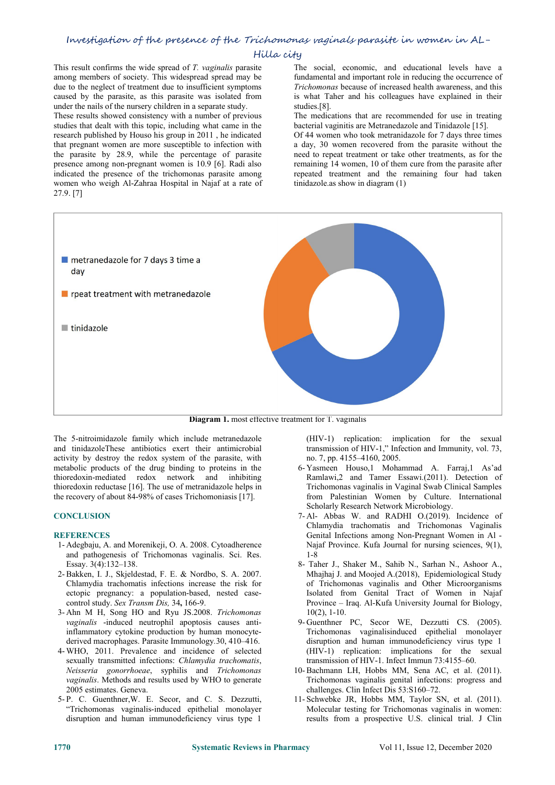# Investigation of the presence of the Trichomonas vaginals parasite in women in AL-

# Hilla city

This result confirms the wide spread of *T. vaginalis* parasite among members of society. This widespread spread may be due to the neglect of treatment due to insufficient symptoms caused by the parasite, as this parasite was isolated from under the nails of the nursery children in a separate study.

These results showed consistency with a number of previous studies that dealt with this topic, including what came in the research published by Houso his group in 2011 , he indicated that pregnant women are more susceptible to infection with the parasite by 28.9, while the percentage of parasite presence among non-pregnant women is 10.9 [6]. Radi also indicated the presence of the trichomonas parasite among women who weigh Al-Zahraa Hospital in Najaf at a rate of 27.9. [7]

The social, economic, and educational levels have a fundamental and important role in reducing the occurrence of *Trichomonas* because of increased health awareness, and this is what Taher and his colleagues have explained in their studies.[8].

The medications that are recommended for use in treating bacterial vaginitis are Metranedazole and Tinidazole [15].

Of 44 women who took metranidazole for 7 days three times a day, 30 women recovered from the parasite without the need to repeat treatment or take other treatments, as for the remaining 14 women, 10 of them cure from the parasite after repeated treatment and the remaining four had taken tinidazole.as show in diagram (1)



**Diagram 1.** most effective treatment for T. vaginalis

The 5-nitroimidazole family which include metranedazole and tinidazoleThese antibiotics exert their antimicrobial activity by destroy the redox system of the parasite, with metabolic products of the drug binding to proteins in the thioredoxin-mediated redox network and inhibiting thioredoxin reductase [16]. The use of metranidazole helps in the recovery of about 84-98% of cases Trichomoniasis [17].

# **CONCLUSION**

#### **REFERENCES**

- 1- Adegbaju, A. and Morenikeji, O. A. 2008. Cytoadherence and pathogenesis of Trichomonas vaginalis. Sci. Res. Essay. 3(4):132–138.
- 2-Bakken, I. J., Skjeldestad, F. E. & Nordbo, S. A. 2007. Chlamydia trachomatis infections increase the risk for ectopic pregnancy: a population-based, nested case control study. *Sex Transm Dis,* 34**,** 166-9.
- 3- Ahn M H, Song HO and Ryu JS.2008. *Trichomonas vaginalis* -induced neutrophil apoptosis causes antiinflammatory cytokine production by human monocyte derived macrophages. Parasite Immunology*.*30, 410–416.
- 4- WHO, 2011. Prevalence and incidence of selected sexually transmitted infections: *Chlamydia trachomatis*, *Neisseria gonorrhoeae*, syphilis and *Trichomonas vaginalis*. Methods and results used by WHO to generate 2005 estimates. Geneva.
- 5- P. C. Guenthner,W. E. Secor, and C. S. Dezzutti, "Trichomonas vaginalis-induced epithelial monolayer disruption and human immunodeficiency virus type 1

(HIV-1) replication: implication for the sexual transmission of HIV-1," Infection and Immunity, vol. 73, no. 7, pp. 4155–4160, 2005.

- 6- Yasmeen Houso,1 Mohammad A. Farraj,1 As'ad Ramlawi,2 and Tamer Essawi.(2011). Detection of Trichomonas vaginalis in Vaginal Swab Clinical Samples from Palestinian Women by Culture. International Scholarly Research Network Microbiology.
- 7- Al- Abbas W. and RADHI O.(2019). Incidence of Chlamydia trachomatis and Trichomonas Vaginalis Genital Infections among Non-Pregnant Women in Al - Najaf Province. Kufa Journal for nursing sciences, 9(1), 1-8
- 8- Taher J., Shaker M., Sahib N., Sarhan N., Ashoor A., Mhajhaj J. and Moojed A.(2018), Epidemiological Study of Trichomonas vaginalis and Other Microorganisms Isolated from Genital Tract of Women in Najaf Province – Iraq. Al-Kufa University Journal for Biology, 10(2), 1-10.
- 9- Guenthner PC, Secor WE, Dezzutti CS. (2005). Trichomonas vaginalisinduced epithelial monolayer disruption and human immunodeficiency virus type 1 (HIV-1) replication: implications for the sexual transmission of HIV-1. Infect Immun 73:4155–60.
- 10-Bachmann LH, Hobbs MM, Sena AC, et al. (2011). Trichomonas vaginalis genital infections: progress and challenges. Clin Infect Dis 53:S160–72.
- 11- Schwebke JR, Hobbs MM, Taylor SN, et al. (2011). Molecular testing for Trichomonas vaginalis in women: results from a prospective U.S. clinical trial. J Clin